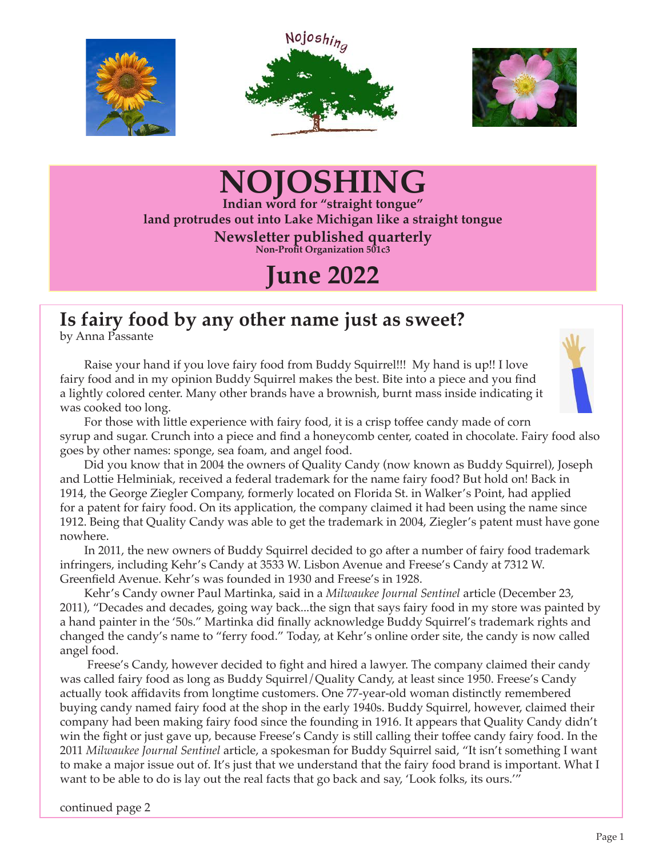





## **NOJOSHING**

**Indian word for "straight tongue" land protrudes out into Lake Michigan like a straight tongue Newsletter published quarterly Non-Profit Organization 501c3**

### **June 2022**

### **Is fairy food by any other name just as sweet?**

by Anna Passante

Raise your hand if you love fairy food from Buddy Squirrel!!! My hand is up!! I love fairy food and in my opinion Buddy Squirrel makes the best. Bite into a piece and you find a lightly colored center. Many other brands have a brownish, burnt mass inside indicating it was cooked too long.



For those with little experience with fairy food, it is a crisp toffee candy made of corn syrup and sugar. Crunch into a piece and find a honeycomb center, coated in chocolate. Fairy food also goes by other names: sponge, sea foam, and angel food.

Did you know that in 2004 the owners of Quality Candy (now known as Buddy Squirrel), Joseph and Lottie Helminiak, received a federal trademark for the name fairy food? But hold on! Back in 1914, the George Ziegler Company, formerly located on Florida St. in Walker's Point, had applied for a patent for fairy food. On its application, the company claimed it had been using the name since 1912. Being that Quality Candy was able to get the trademark in 2004, Ziegler's patent must have gone nowhere.

In 2011, the new owners of Buddy Squirrel decided to go after a number of fairy food trademark infringers, including Kehr's Candy at 3533 W. Lisbon Avenue and Freese's Candy at 7312 W. Greenfield Avenue. Kehr's was founded in 1930 and Freese's in 1928.

Kehr's Candy owner Paul Martinka, said in a *Milwaukee Journal Sentinel* article (December 23, 2011), "Decades and decades, going way back...the sign that says fairy food in my store was painted by a hand painter in the '50s." Martinka did finally acknowledge Buddy Squirrel's trademark rights and changed the candy's name to "ferry food." Today, at Kehr's online order site, the candy is now called angel food.

 Freese's Candy, however decided to fight and hired a lawyer. The company claimed their candy was called fairy food as long as Buddy Squirrel/Quality Candy, at least since 1950. Freese's Candy actually took affidavits from longtime customers. One 77-year-old woman distinctly remembered buying candy named fairy food at the shop in the early 1940s. Buddy Squirrel, however, claimed their company had been making fairy food since the founding in 1916. It appears that Quality Candy didn't win the fight or just gave up, because Freese's Candy is still calling their toffee candy fairy food. In the 2011 *Milwaukee Journal Sentinel* article, a spokesman for Buddy Squirrel said, "It isn't something I want to make a major issue out of. It's just that we understand that the fairy food brand is important. What I want to be able to do is lay out the real facts that go back and say, 'Look folks, its ours.'''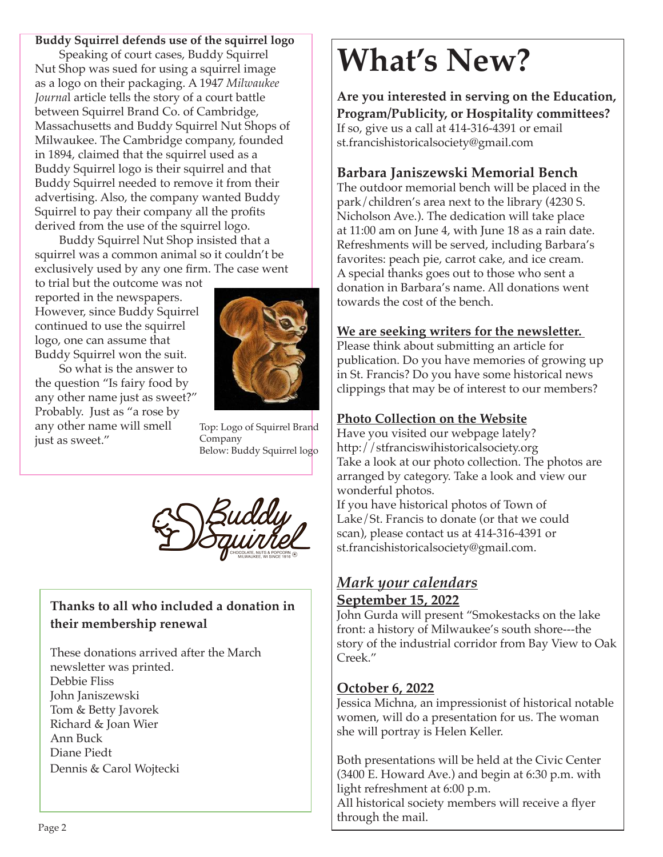#### **Buddy Squirrel defends use of the squirrel logo**

Speaking of court cases, Buddy Squirrel Nut Shop was sued for using a squirrel image as a logo on their packaging. A 1947 *Milwaukee Journa*l article tells the story of a court battle between Squirrel Brand Co. of Cambridge, Massachusetts and Buddy Squirrel Nut Shops of Milwaukee. The Cambridge company, founded in 1894, claimed that the squirrel used as a Buddy Squirrel logo is their squirrel and that Buddy Squirrel needed to remove it from their advertising. Also, the company wanted Buddy Squirrel to pay their company all the profits derived from the use of the squirrel logo.

Buddy Squirrel Nut Shop insisted that a squirrel was a common animal so it couldn't be exclusively used by any one firm. The case went

to trial but the outcome was not reported in the newspapers. However, since Buddy Squirrel continued to use the squirrel logo, one can assume that Buddy Squirrel won the suit.

So what is the answer to the question "Is fairy food by any other name just as sweet?" Probably. Just as "a rose by any other name will smell just as sweet."



Top: Logo of Squirrel Brand Company Below: Buddy Squirrel logo



#### **Thanks to all who included a donation in their membership renewal**

These donations arrived after the March newsletter was printed. Debbie Fliss John Janiszewski Tom & Betty Javorek Richard & Joan Wier Ann Buck Diane Piedt Dennis & Carol Wojtecki

# **What's New?**

**Are you interested in serving on the Education, Program/Publicity, or Hospitality committees?** If so, give us a call at 414-316-4391 or email st.francishistoricalsociety@gmail.com

#### **Barbara Janiszewski Memorial Bench**

The outdoor memorial bench will be placed in the park/children's area next to the library (4230 S. Nicholson Ave.). The dedication will take place at 11:00 am on June 4, with June 18 as a rain date. Refreshments will be served, including Barbara's favorites: peach pie, carrot cake, and ice cream. A special thanks goes out to those who sent a donation in Barbara's name. All donations went towards the cost of the bench.

#### **We are seeking writers for the newsletter.**

Please think about submitting an article for publication. Do you have memories of growing up in St. Francis? Do you have some historical news clippings that may be of interest to our members?

#### **Photo Collection on the Website**

Have you visited our webpage lately? http://stfranciswihistoricalsociety.org Take a look at our photo collection. The photos are arranged by category. Take a look and view our wonderful photos.

If you have historical photos of Town of Lake/St. Francis to donate (or that we could scan), please contact us at 414-316-4391 or st.francishistoricalsociety@gmail.com.

#### *Mark your calendars* **September 15, 2022**

John Gurda will present "Smokestacks on the lake front: a history of Milwaukee's south shore---the story of the industrial corridor from Bay View to Oak Creek."

#### **October 6, 2022**

Jessica Michna, an impressionist of historical notable women, will do a presentation for us. The woman she will portray is Helen Keller.

Both presentations will be held at the Civic Center (3400 E. Howard Ave.) and begin at 6:30 p.m. with light refreshment at 6:00 p.m.

All historical society members will receive a flyer through the mail.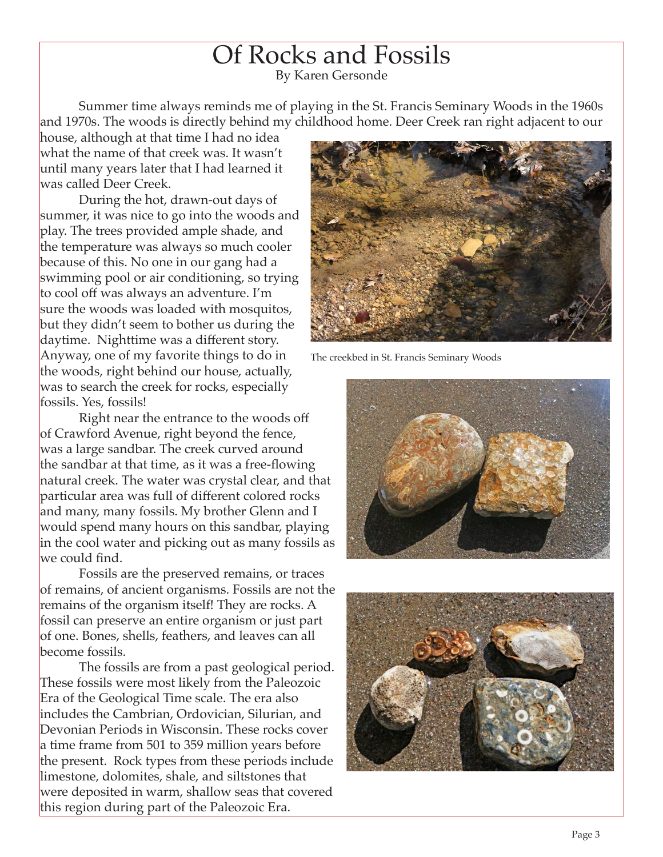## Of Rocks and Fossils

By Karen Gersonde

Summer time always reminds me of playing in the St. Francis Seminary Woods in the 1960s and 1970s. The woods is directly behind my childhood home. Deer Creek ran right adjacent to our

house, although at that time I had no idea what the name of that creek was. It wasn't until many years later that I had learned it was called Deer Creek.

During the hot, drawn-out days of summer, it was nice to go into the woods and play. The trees provided ample shade, and the temperature was always so much cooler because of this. No one in our gang had a swimming pool or air conditioning, so trying to cool off was always an adventure. I'm sure the woods was loaded with mosquitos, but they didn't seem to bother us during the daytime. Nighttime was a different story. Anyway, one of my favorite things to do in the woods, right behind our house, actually, was to search the creek for rocks, especially fossils. Yes, fossils!

Right near the entrance to the woods off of Crawford Avenue, right beyond the fence, was a large sandbar. The creek curved around the sandbar at that time, as it was a free-flowing natural creek. The water was crystal clear, and that particular area was full of different colored rocks and many, many fossils. My brother Glenn and I would spend many hours on this sandbar, playing in the cool water and picking out as many fossils as we could find.

Fossils are the preserved remains, or traces of remains, of ancient organisms. Fossils are not the remains of the organism itself! They are rocks. A fossil can preserve an entire organism or just part of one. Bones, shells, feathers, and leaves can all become fossils.

The fossils are from a past geological period. These fossils were most likely from the Paleozoic Era of the Geological Time scale. The era also includes the Cambrian, Ordovician, Silurian, and Devonian Periods in Wisconsin. These rocks cover a time frame from 501 to 359 million years before the present. Rock types from these periods include limestone, dolomites, shale, and siltstones that were deposited in warm, shallow seas that covered this region during part of the Paleozoic Era.



The creekbed in St. Francis Seminary Woods



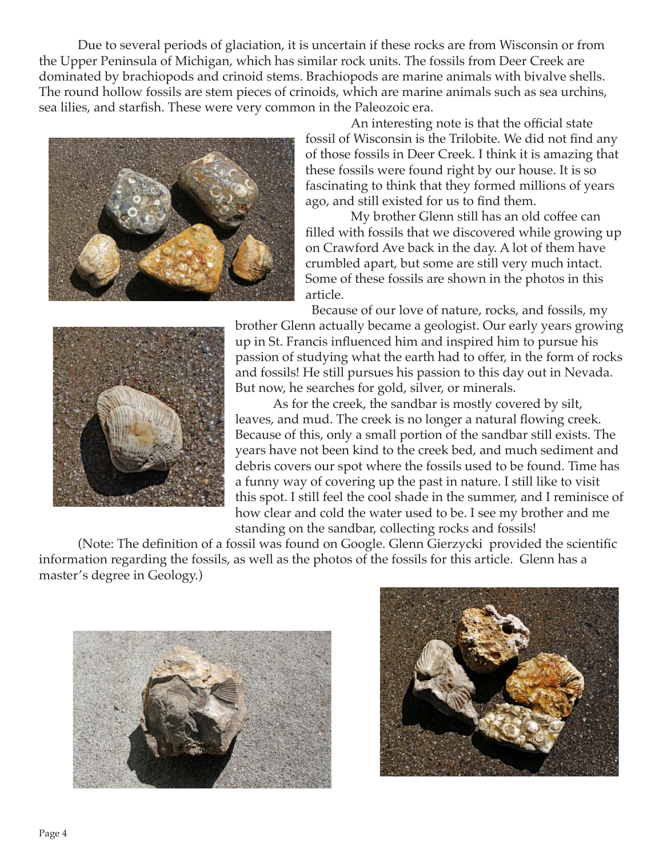Due to several periods of glaciation, it is uncertain if these rocks are from Wisconsin or from the Upper Peninsula of Michigan, which has similar rock units. The fossils from Deer Creek are dominated by brachiopods and crinoid stems. Brachiopods are marine animals with bivalve shells. The round hollow fossils are stem pieces of crinoids, which are marine animals such as sea urchins, sea lilies, and starfish. These were very common in the Paleozoic era.



An interesting note is that the official state fossil of Wisconsin is the Trilobite. We did not find any of those fossils in Deer Creek. I think it is amazing that these fossils were found right by our house. It is so fascinating to think that they formed millions of years ago, and still existed for us to find them.

My brother Glenn still has an old coffee can filled with fossils that we discovered while growing up on Crawford Ave back in the day. A lot of them have crumbled apart, but some are still very much intact. Some of these fossils are shown in the photos in this article.

Because of our love of nature, rocks, and fossils, my



brother Glenn actually became a geologist. Our early years growing up in St. Francis influenced him and inspired him to pursue his passion of studying what the earth had to offer, in the form of rocks and fossils! He still pursues his passion to this day out in Nevada. But now, he searches for gold, silver, or minerals.

As for the creek, the sandbar is mostly covered by silt, leaves, and mud. The creek is no longer a natural flowing creek. Because of this, only a small portion of the sandbar still exists. The years have not been kind to the creek bed, and much sediment and debris covers our spot where the fossils used to be found. Time has a funny way of covering up the past in nature. I still like to visit this spot. I still feel the cool shade in the summer, and I reminisce of how clear and cold the water used to be. I see my brother and me standing on the sandbar, collecting rocks and fossils!

(Note: The definition of a fossil was found on Google. Glenn Gierzycki provided the scientific information regarding the fossils, as well as the photos of the fossils for this article. Glenn has a master's degree in Geology.)



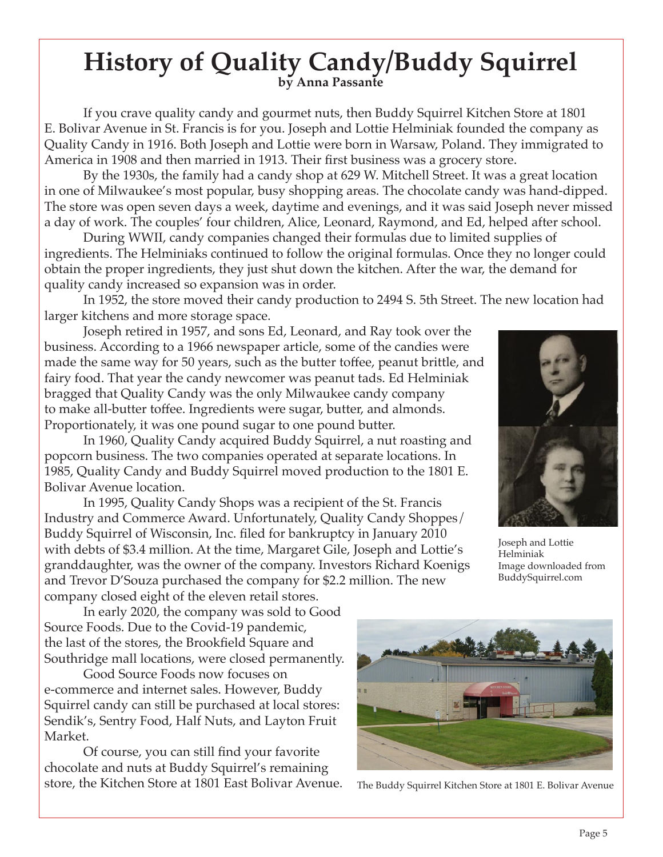# **History of Quality Candy/Buddy Squirrel by Anna Passante**

If you crave quality candy and gourmet nuts, then Buddy Squirrel Kitchen Store at 1801 E. Bolivar Avenue in St. Francis is for you. Joseph and Lottie Helminiak founded the company as Quality Candy in 1916. Both Joseph and Lottie were born in Warsaw, Poland. They immigrated to America in 1908 and then married in 1913. Their first business was a grocery store.

By the 1930s, the family had a candy shop at 629 W. Mitchell Street. It was a great location in one of Milwaukee's most popular, busy shopping areas. The chocolate candy was hand-dipped. The store was open seven days a week, daytime and evenings, and it was said Joseph never missed a day of work. The couples' four children, Alice, Leonard, Raymond, and Ed, helped after school.

During WWII, candy companies changed their formulas due to limited supplies of ingredients. The Helminiaks continued to follow the original formulas. Once they no longer could obtain the proper ingredients, they just shut down the kitchen. After the war, the demand for quality candy increased so expansion was in order.

In 1952, the store moved their candy production to 2494 S. 5th Street. The new location had larger kitchens and more storage space.

Joseph retired in 1957, and sons Ed, Leonard, and Ray took over the business. According to a 1966 newspaper article, some of the candies were made the same way for 50 years, such as the butter toffee, peanut brittle, and fairy food. That year the candy newcomer was peanut tads. Ed Helminiak bragged that Quality Candy was the only Milwaukee candy company to make all-butter toffee. Ingredients were sugar, butter, and almonds. Proportionately, it was one pound sugar to one pound butter.

In 1960, Quality Candy acquired Buddy Squirrel, a nut roasting and popcorn business. The two companies operated at separate locations. In 1985, Quality Candy and Buddy Squirrel moved production to the 1801 E. Bolivar Avenue location.

In 1995, Quality Candy Shops was a recipient of the St. Francis Industry and Commerce Award. Unfortunately, Quality Candy Shoppes/ Buddy Squirrel of Wisconsin, Inc. filed for bankruptcy in January 2010 with debts of \$3.4 million. At the time, Margaret Gile, Joseph and Lottie's granddaughter, was the owner of the company. Investors Richard Koenigs and Trevor D'Souza purchased the company for \$2.2 million. The new company closed eight of the eleven retail stores.

In early 2020, the company was sold to Good Source Foods. Due to the Covid-19 pandemic, the last of the stores, the Brookfield Square and Southridge mall locations, were closed permanently.

Good Source Foods now focuses on e-commerce and internet sales. However, Buddy Squirrel candy can still be purchased at local stores: Sendik's, Sentry Food, Half Nuts, and Layton Fruit Market.

Of course, you can still find your favorite chocolate and nuts at Buddy Squirrel's remaining store, the Kitchen Store at 1801 East Bolivar Avenue.



The Buddy Squirrel Kitchen Store at 1801 E. Bolivar Avenue



Joseph and Lottie Helminiak Image downloaded from BuddySquirrel.com